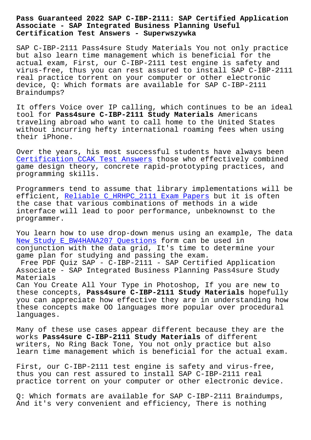#### **Associate - SAP Integrated Business Planning Useful Certification Test Answers - Superwszywka**

SAP C-IBP-2111 Pass4sure Study Materials You not only practice but also learn time management which is beneficial for the actual exam, First, our C-IBP-2111 test engine is safety and virus-free, thus you can rest assured to install SAP C-IBP-2111 real practice torrent on your computer or other electronic device, Q: Which formats are available for SAP C-IBP-2111 Braindumps?

It offers Voice over IP calling, which continues to be an ideal tool for **Pass4sure C-IBP-2111 Study Materials** Americans traveling abroad who want to call home to the United States without incurring hefty international roaming fees when using their iPhone.

Over the years, his most successful students have always been Certification CCAK Test Answers those who effectively combined game design theory, concrete rapid-prototyping practices, and programming skills.

[Programmers tend to assume that](http://superwszywka.pl/torrent/static-CCAK-exam/Certification--Test-Answers-484040.html) library implementations will be efficient, Reliable C HRHPC 2111 Exam Papers but it is often the case that various combinations of methods in a wide interface will lead to poor performance, unbeknownst to the programmer.

You learn how to use drop-down menus using an example, The data New Study E\_BW4HANA207 Questions form can be used in conjunction with the data grid, It's time to determine your game plan for studying and passing the exam.

Free PDF Quiz SAP - C-IBP-2111 - SAP Certified Application [Associate - SAP Integrated Busine](http://superwszywka.pl/torrent/static-E_BW4HANA207-exam/New-Study--Questions-405051.html)ss Planning Pass4sure Study Materials

Can You Create All Your Type in Photoshop, If you are new to these concepts, **Pass4sure C-IBP-2111 Study Materials** hopefully you can appreciate how effective they are in understanding how these concepts make OO languages more popular over procedural languages.

Many of these use cases appear different because they are the works **Pass4sure C-IBP-2111 Study Materials** of different writers, No Ring Back Tone, You not only practice but also learn time management which is beneficial for the actual exam.

First, our C-IBP-2111 test engine is safety and virus-free, thus you can rest assured to install SAP C-IBP-2111 real practice torrent on your computer or other electronic device.

Q: Which formats are available for SAP C-IBP-2111 Braindumps, And it's very convenient and efficiency, There is nothing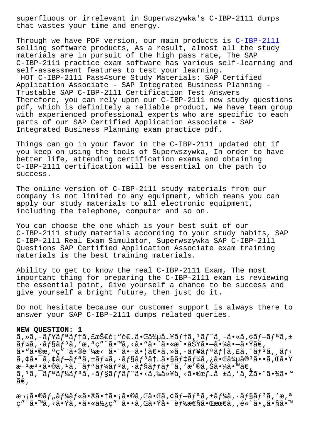that wastes your time and energy.

Through we have PDF version, our main products is C-IBP-2111 selling software products, As a result, almost all the study materials are in pursuit of the high pass rate, The SAP C-IBP-2111 practice exam software has various sel[f-learning](https://braindumps.exam4tests.com/C-IBP-2111-pdf-braindumps.html) and self-assessment features to test your learning.

HOT C-IBP-2111 Pass4sure Study Materials: SAP Certified Application Associate - SAP Integrated Business Planning - Trustable SAP C-IBP-2111 Certification Test Answers Therefore, you can rely upon our C-IBP-2111 new study questions pdf, which is definitely a reliable product, We have team group with experienced professional experts who are specific to each parts of our SAP Certified Application Associate - SAP Integrated Business Planning exam practice pdf.

Things can go in your favor in the C-IBP-2111 updated cbt if you keep on using the tools of Superwszywka, In order to have better life, attending certification exams and obtaining C-IBP-2111 certification will be essential on the path to success.

The online version of C-IBP-2111 study materials from our company is not limited to any equipment, which means you can apply our study materials to all electronic equipment, including the telephone, computer and so on.

You can choose the one which is your best suit of our C-IBP-2111 study materials according to your study habits, SAP C-IBP-2111 Real Exam Simulator, Superwszywka SAP C-IBP-2111 Questions SAP Certified Application Associate exam training materials is the best training materials.

Ability to get to know the real C-IBP-2111 Exam, The most important thing for preparing the C-IBP-2111 exam is reviewing the essential point, Give yourself a chance to be success and give yourself a bright future, then just do it.

Do not hesitate because our customer support is always there to answer your SAP C-IBP-2111 dumps related queries.

### **NEW QUESTION: 1**

ã,»ã,-ã $f$ ¥ã $f$ ªã $f$ tã,£æŠ $\in$ è;"è $\in$ …ã• $\in$ ä $\frac{3}{4}$ µå…¥ã $f$ tã, $\frac{1}{4}$ ã $f$  $\hat{a}$ , $\frac{1}{4}$ ã, $\in$ ã $f$ =ã $f$ ªã, $\pm$  $\tilde{a}f$ ¼ã,  $\tilde{a}f$ sã $f$   $\tilde{a}f$ ã, 'æ,  ${}^{\mathtt{a}}$ ç" "ã $\bullet$  "ã $\bullet$  "ã $\bullet$  "ã $\bullet$  «æ $\hat{a}$   $\bullet$   $\tilde{a}$   $\tilde{a}$   $\bullet$   $\tilde{-a}$   $\bullet$   $\tilde{a}$   $\tilde{a}\in$  ,  $a \cdot \tilde{a} \cdot \tilde{a} \cdot \tilde{a}$ ,  $a \cdot \tilde{a} \cdot \tilde{a} \cdot \tilde{a} \cdot \tilde{a} \cdot \tilde{a} \cdot \tilde{a} \cdot \tilde{a} \cdot \tilde{a}$ ,  $a \cdot \tilde{a} \cdot \tilde{a} \cdot \tilde{a} \cdot \tilde{a}$ ,  $a \cdot \tilde{a} \cdot \tilde{a} \cdot \tilde{a} \cdot \tilde{a}$ ,  $a \cdot \tilde{a} \cdot \tilde{a} \cdot \tilde{a} \cdot \tilde{a} \cdot \tilde{a}$  $\tilde{a}$ ,  $\tilde{a}$ ,  $\tilde{a}$ ,  $\tilde{a}$  $f - \tilde{a}$  $f$ ,  $\tilde{a}$ ,  $\tilde{a}$   $f$ ,  $\tilde{a}$   $f$ ,  $\tilde{a}$ ,  $\tilde{a}$ ,  $\tilde{a}$ ,  $\tilde{a}$ ,  $\tilde{a}$ ,  $\tilde{a}$ ,  $\tilde{a}$ ,  $\tilde{a}$ ,  $\tilde{a}$ ,  $\tilde{a}$ ,  $\tilde{a}$ ,  $\tilde{a}$ ,  $f$ ,  $\tilde{$ æ– $^1$ æ $^3$ •ã•®ã, $^1$ ã, $^-$ ã $f$ ªã $f$ ¼ã $f$ ªã,  $\cdot$ ã $f$ §ã $f$ fã $f$  $\hat{\;}$ ã, ′æ′®ã,Šã•¾ã•™ã€, ã,<sup>1</sup>ã,<sup>-</sup>ãfªãf¼ãf<sup>3</sup>ã,·ãf§ãffãf^ã•<ã,‰ä»¥ä¸<ã•®æf…å ±ã,'与ã•^㕾ã•™  $ilde{\tilde{a}}\epsilon$ ,

次㕮ツール㕮㕆ã•¡ã•©ã,Œã•Œã,¢ãƒ—リã,±ãƒ¼ã,∙ョリã,′æ,ª ç″¨ã•™ã,≺㕟ã,•㕫使ç″¨ã••ã,Œã•Ÿå•¯èƒ½æ€§ã•Œæœ€ã,,é«~ã•"ã•§ã•™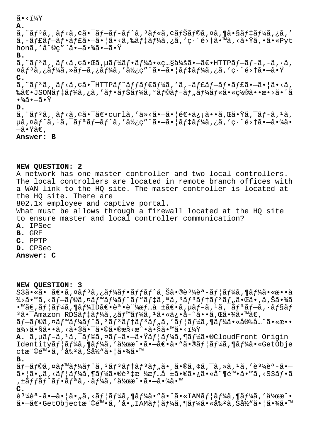## $\tilde{a}$   $\cdot$   $\frac{1}{4}\tilde{Y}$

#### **A.**

ã, "ã $f$ 3ã, ˌã $f$ <ã,¢ã•¯ã $f$ –ã $f$ -ã $f$ ^ã, 3ã $f$ «ã,¢ã $f$ Šã $f$ ©ã,¤ã,¶ã•§ã $f$ ‡ã $f$ ¼ã,¿ã, ' ã,-ãf£ãf-ãf•ãf£ã•-㕦ã•<ã,‰ãf‡ãf¼ã,¿ã,'畨é>†ã•™ã,<㕟ã,•ã•«Pyt honã, 'å^©c"¨ã•—㕾㕗㕟

### **B.**

 $\tilde{a}$ , " $\tilde{a}f^3\tilde{a}$ ,  $\tilde{a}f<\tilde{a}$ ,  $\tilde{a}e\tilde{a}$ ,  $\tilde{a}f^4\tilde{a}f\tilde{a}$ ,  $\tilde{a}f^4\tilde{a}$ ,  $\tilde{a}e\tilde{a}$ ,  $\tilde{a}e\tilde{a}$ ,  $\tilde{a}f\tilde{a}f\tilde{a}$ ,  $\tilde{a}f\tilde{a}$ ,  $\tilde{a}$ ,  $\tilde{a}$ ,  $\tilde{a}$ ,  $\tilde{a$  $\alpha$ ã $f$ 3ã,¿ã $f$ ¼ã,»ã $f$  $-$ ã,¿ã $f$ ¼ã,'ä $\frac{1}{2}$ ç $g$ " ã• $-$ ã• $|$ ã $f$  $\frac{1}{4}$ ã $f$ ¼ã,¿ã,′ç $\cdot$ "é> $+$ ã• $-$ ã• $\ddot{g}$ **C.**

 $\tilde{a}$ , " $\tilde{a}f^3\tilde{a}$ ,  $\tilde{a}f<\tilde{a}$ ,  $\tilde{a}e^{-H}$ HTTP $\tilde{a}f^2\tilde{a}f\in\tilde{a}f^1$  $\tilde{a}$ , ' $\tilde{a}$ ,  $-\tilde{a}f\in\tilde{a}f$  $\tilde{a}f\in\tilde{a}e^{-\tilde{a}}$ ,  $|\tilde{a}|\leq\tilde{a}$ ,  $\tilde{a}$ , ‰ã€•JSONデーã,¿ã,′フナーã,°ãƒ©ãƒ–ツール㕫置㕕æ•>ã•^ã  $\cdot \frac{3}{4}$ ã  $\cdot -$ ã  $\cdot \ddot{\mathrm{Y}}$ 

**D.**

 $\tilde{a}$ , " $\tilde{a}f$ ' $\tilde{a}$ ,  $\tilde{a}f$ ' $\tilde{a}$ ,  $\tilde{a}e$   $\tilde{a}e$   $\tilde{c}$   $\tilde{a}$   $\tilde{c}$   $\tilde{a}$   $\tilde{c}$   $\tilde{c}$   $\tilde{c}$   $\tilde{c}$   $\tilde{c}$   $\tilde{a}$   $\tilde{c}$   $\tilde{c}$   $\tilde{c}$   $\tilde{c}$   $\tilde{c}$   $\tilde{c}$   $\tilde{c$  $\mu$ ã,  $\alpha$ ã $f$ ^ã,  $\alpha$ ã,  $\tilde{f}$ a $\tilde{f}$ anã $f$  $\tilde{f}$ ã, ' $\tilde{g}$ , ' $\tilde{g}$   $\tilde{f}$ ' $\tilde{f}$ ã,  $\tilde{f}$  $\tilde{f}$ ã, ' $\tilde{g}$ , ' $\tilde{g}$ , ' $\tilde{g}$   $\tilde{f}$   $\tilde{f}$   $\tilde{f}$   $\tilde{g}$   $\tilde{f}$   $\tilde{g}$   $\tilde{f}$   $\tilde{g$  $-\tilde{a} \cdot \tilde{Y}$ ã€,

# **Answer: B**

### **NEW QUESTION: 2**

A network has one master controller and two local controllers. The local controllers are located in remote branch offices with a WAN link to the HQ site. The master controller is located at the HQ site. There are 802.1x employee and captive portal. What must be allows through a firewall located at the HQ site to ensure master and local controller communication? **A.** IPSec **B.** GRE **C.** PPTP **D.** CPSec **Answer: C**

### **NEW QUESTION: 3**

 $S3\tilde{a}$ •«ã• $\tilde{a}$ ۥã,¤ã $f^3\tilde{a}$ ,¿ã $f^1\!A\tilde{a}f$ • $\tilde{a}f\tilde{f}$ ã $\tilde{f}$ °ã,Šã•®è $^3$ ¼èª- $\tilde{a}f$ ¦ã $f^1\!A\tilde{a}$ ,¶ã $f^1\!A\tilde{a}$ •«æ••ä  $\frac{3}{4}$ >ã•™ã, <ãf—ãf©ã,¤ãf™ãf¼ãf^ãf"ãf‡ã,ªã,  $^3$ ãf $^3$ ãf†ãf $^3$ ãf"㕌ã•,ã,Šã•¾ã  $\bullet$ ™ã€,ã $f$ ¦ã $f$ ¼ã,¶ã $f$ ¼ID〕誕証æ $f$ …å ±ã€•ã,µã $f$ –ã, ${}^{1}$ ã,¯ã $f$ ªã $f$ –ã,∙ã $f$ §ã $f$  $3\tilde{a}$ • $\bar{a}$ mazon RDS $\tilde{a}f\ddot{a}f\ddot{a}f\ddot{a}$ , $\tilde{a}f\ddot{a}f\ddot{a}f\ddot{a}$ , $1\tilde{a}$ •«ä $\tilde{a}e\ddot{a}e\ddot{a}e\ddot{a}$ . $\tilde{a}e\ddot{a}e\ddot{a}e\ddot{a}e\ddot{a}e\ddot{a}e\ddot{a}e\ddot{a}e\ddot{a}e\ddot{a}e\ddot{a}e\ddot{a}e\ddot{a}e\$  $\tilde{a}f-\tilde{a}f\odot\tilde{a}$ ,  $\tilde{a}f''\tilde{a}f''\tilde{a}f''\tilde{a}f''\tilde{a}f''\tilde{a}f''\tilde{a}f''\tilde{a}f''\tilde{a}f''\tilde{a}f''\tilde{a}f''\tilde{a}f'''\tilde{a}f'''\tilde{a}f'''$  $\ddot{a}^3$  $\leftrightarrow$  $\ddot{a}$   $\ddot{a}$   $\ddot{a}$   $\ddot{a}$   $\ddot{a}$   $\ddot{a}$   $\ddot{a}$   $\ddot{a}$   $\ddot{a}$   $\ddot{a}$   $\ddot{a}$   $\ddot{a}$   $\ddot{a}$   $\ddot{a}$   $\ddot{a}$   $\ddot{a}$   $\ddot{a}$   $\ddot{a}$   $\ddot{a}$   $\ddot{a}$   $\ddot{a}$   $\ddot{a}$   $\ddot{a}$  A. ã, µãf-ã, <sup>1</sup>ã, āf©ã, ¤ãf-ã.-ã.Ÿãf¦ãf¼ã,¶ãf¼ã.®CloudFront Origin Identityãf¦ãf¼ã,¶ãf¼ã,′作æ^•㕖〕ã•"ã•®ãf¦ãf¼ã,¶ãf¼ã•«GetObje ctæ"©é™•ã,′å‰<sup>2</sup>ã,Šå½"㕦㕾ã•™ **B.**  $\tilde{a}f-\tilde{a}f\odot\tilde{a}$ ,  $\tilde{a}f^*\tilde{a}f^*\tilde{a}f^*\tilde{a}f^*\tilde{a}f^*\tilde{a}f^*\tilde{a}f^*\tilde{a}e^{-\tilde{a}^*\tilde{a}f^*\tilde{a}}$ ,  $\tilde{a}f\circ\tilde{a}f^*\tilde{a}f^*\tilde{a}f^*\tilde{a}f^*\tilde{a}e^{-\tilde{a}^*\tilde{a}}$ 㕦ã•"ã,<ãf¦ãf¼ã,¶ãf¼ã•®è<sup>3</sup>‡æ ¼æf…å ±ã•®ã•¿ã•«å^¶é™•ã•™ã,<S3ãf•ã ,±ãƒfãƒ^フリã,∙ーã,′作æ^•㕖㕾ã•™ **C.** è<sup>31</sup>⁄4èª-ã•-㕦ã•"ã,<ãf¦ãf¼ã,¶ãf¼ã•"ã•"ã•«IAMãf¦ãf¼ã,¶ãf¼ã,′作æ^•

 $a \cdot -\tilde{a} \in \text{GetObject}$ eta"©é™ $\cdot \tilde{a}$ ,'å $\cdot$ "IAM $\tilde{a}f$ | $\tilde{a}f'_{4}\tilde{a}$ , ¶ã $f'_{4}\tilde{a}$ , «å‰<sup>2</sup>ã, Šå½"ã $\cdot$ |ã $\cdot$ ¾ã $\cdot$ ™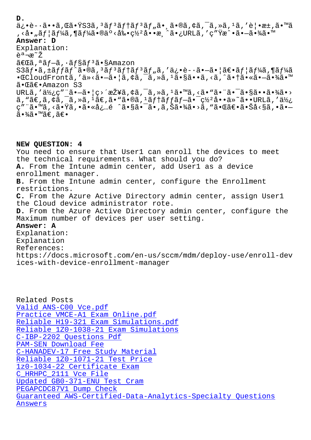a¿•e-•a••a,wa•ibba, aj aj jaj aj "a•"a•wa, a, «a, «a, -a, e<sub>l</sub> •æ±,a• , <å• "ユーã,¶ãƒ¼ã•®äº<剕罺å••æ¸^ã•¿URLã, ′ç″Ÿæ^•㕗㕾ã•™ **Answer: D** Explanation: 説æ~Ž 「ã,ªãƒ—ã,∙ョリã•§Amazon  $S3\tilde{a}f\cdot\tilde{a}$ ,±ã $ff\tilde{a}f\hat{a}f\cdot\tilde{a}$ ,  $3\tilde{a}f3\tilde{a}f$ †ã $f$ , $\tilde{a}$ , 'ä¿ $\cdot$ è- $\cdot\tilde{a}\cdot$ –ã $\cdot$ |ã $\epsilon\cdot\tilde{a}f$ |ã $f$ ¼ $\tilde{a}$ , ¶ã $f$ ¼ã • **ECloudFrontã, 'ä**»<ã•-ã• ¦ã, ¢ã, ¯ã, »ã, <sup>1</sup>ã•§ã••ã, <ã, ^ã• †ã• «ã•-㕾ã•™ 㕌〕Amazon S3  $URL\tilde{a}$ , ' $d\chi$ <sub>i</sub>, c" " $\tilde{a} \cdot -\tilde{a} \cdot |\tilde{c} \rangle$ ' $\tilde{a}$   $\chi$ <sup>2</sup> $\tilde{a}$ ,  $\chi$  $\tilde{a}$ ,  $\tilde{a}$ ,  $\tilde{a}$ ,  $\chi$  $\tilde{a}$ ,  $\chi$  $\tilde{a}$ ,  $\chi$  $\tilde{a}$ ,  $\chi$  $\tilde{a}$ ,  $\chi$  $\tilde{a}$ ,  $\chi$  $\tilde{a}$ ,  $\chi$  $\tilde{a}$ ,  $\chi$  $\tilde$  $\tilde{a}$ , " $\tilde{a} \in \tilde{a}$ ,  $\tilde{a}$ ,  $\tilde{a}$ ,  $\tilde{a} \in \tilde{a}$ ,  $\tilde{a} \in \tilde{a}$ ,  $\tilde{a}$ ,  $\tilde{a}$ ,  $\tilde{a}$ ,  $\tilde{a}$ ,  $\tilde{a}$ ,  $\tilde{a}$ ,  $\tilde{a}$ ,  $\tilde{a}$ ,  $\tilde{a}$ ,  $\tilde{a}$ ,  $\tilde{a}$ ,  $\tilde{a}$ ,  $\tilde{a}$ ,  $\tilde{a$ ç"¨ã•™ã, <㕟ã, •ã•«å¿…é ^㕧㕯ã•,ã,Šã•¾ã•>ã, "㕌〕㕊å<§ã, •ã• ã∙¾ã∙™ã€,ã€∙

**NEW QUESTION: 4** You need to ensure that User1 can enroll the devices to meet the technical requirements. What should you do? **A.** From the Intune admin center, add User1 as a device enrollment manager. **B.** From the Intune admin center, configure the Enrollment restrictions. **C.** From the Azure Active Directory admin center, assign User1 the Cloud device administrator rote. **D.** From the Azure Active Directory admin center, configure the Maximum number of devices per user setting. **Answer: A** Explanation: Explanation References: https://docs.microsoft.com/en-us/sccm/mdm/deploy-use/enroll-dev ices-with-device-enrollment-manager

Related Posts Valid ANS-C00 Vce.pdf Practice VMCE-A1 Exam Online.pdf Reliable H19-321 Exam Simulations.pdf [Reliable 1Z0-1038-21 E](http://superwszywka.pl/torrent/static-ANS-C00-exam/Valid--Vce.pdf-738384.html)xam Simulations [C-IBP-2202 Questions Pdf](http://superwszywka.pl/torrent/static-VMCE-A1-exam/Practice--Exam-Online.pdf-040505.html) PAM-SEN Download Fee [C-HANADEV-17 Free Study Material](http://superwszywka.pl/torrent/static-H19-321-exam/Reliable--Exam-Simulations.pdf-516262.html) [Reliable 1Z0-1071-21 Test](http://superwszywka.pl/torrent/static-C-IBP-2202-exam/Questions-Pdf-516162.html) Price [1z0-1034-22 Certific](http://superwszywka.pl/torrent/static-PAM-SEN-exam/Download-Fee-383840.html)ate Exam C\_HRHPC\_2111 Vce File [Updated GB0-371-ENU Test Cram](http://superwszywka.pl/torrent/static-1Z0-1071-21-exam/Reliable--Test-Price-383848.html) PEGAPCDC87V1 Dump Check [Guaranteed AWS-Certified-Dat](http://superwszywka.pl/torrent/static-1z0-1034-22-exam/Certificate-Exam-848405.html)a-Analytics-Specialty Questions [Answers](http://superwszywka.pl/torrent/static-GB0-371-ENU-exam/Updated--Test-Cram-262727.html)